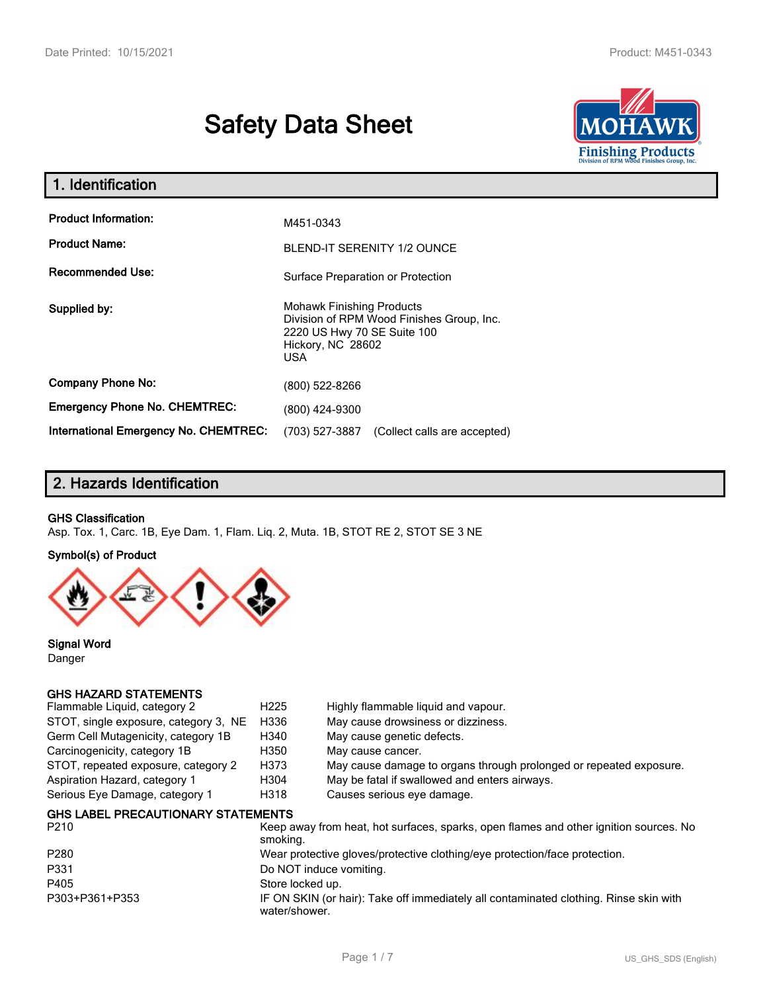# **Safety Data Sheet**



| 1. Identification                            |                                                                                                                                          |
|----------------------------------------------|------------------------------------------------------------------------------------------------------------------------------------------|
| <b>Product Information:</b>                  | M451-0343                                                                                                                                |
| <b>Product Name:</b>                         | <b>BLEND-IT SERENITY 1/2 OUNCE</b>                                                                                                       |
| Recommended Use:                             | Surface Preparation or Protection                                                                                                        |
| Supplied by:                                 | <b>Mohawk Finishing Products</b><br>Division of RPM Wood Finishes Group, Inc.<br>2220 US Hwy 70 SE Suite 100<br>Hickory, NC 28602<br>USA |
| <b>Company Phone No:</b>                     | (800) 522-8266                                                                                                                           |
| <b>Emergency Phone No. CHEMTREC:</b>         | (800) 424-9300                                                                                                                           |
| <b>International Emergency No. CHEMTREC:</b> | (703) 527-3887<br>(Collect calls are accepted)                                                                                           |

# **2. Hazards Identification**

#### **GHS Classification**

Asp. Tox. 1, Carc. 1B, Eye Dam. 1, Flam. Liq. 2, Muta. 1B, STOT RE 2, STOT SE 3 NE

#### **Symbol(s) of Product**



**Signal Word** Danger

#### **GHS HAZARD STATEMENTS**

| Flammable Liquid, category 2              | H <sub>225</sub> | Highly flammable liquid and vapour.                                                   |
|-------------------------------------------|------------------|---------------------------------------------------------------------------------------|
| STOT, single exposure, category 3, NE     | H336             | May cause drowsiness or dizziness.                                                    |
| Germ Cell Mutagenicity, category 1B       | H340             | May cause genetic defects.                                                            |
| Carcinogenicity, category 1B              | H350             | May cause cancer.                                                                     |
| STOT, repeated exposure, category 2       | H373             | May cause damage to organs through prolonged or repeated exposure.                    |
| Aspiration Hazard, category 1             | H304             | May be fatal if swallowed and enters airways.                                         |
| Serious Eye Damage, category 1            | H318             | Causes serious eye damage.                                                            |
| <b>GHS LABEL PRECAUTIONARY STATEMENTS</b> |                  |                                                                                       |
| P <sub>210</sub>                          | smoking.         | Keep away from heat, hot surfaces, sparks, open flames and other ignition sources. No |
| P <sub>280</sub>                          |                  | Wear protective gloves/protective clothing/eye protection/face protection.            |
| P331                                      |                  | Do NOT induce vomiting.                                                               |
|                                           |                  |                                                                                       |

P405 Store locked up.<br>
P303+P361+P353 IF ON SKIN (or h

IF ON SKIN (or hair): Take off immediately all contaminated clothing. Rinse skin with water/shower.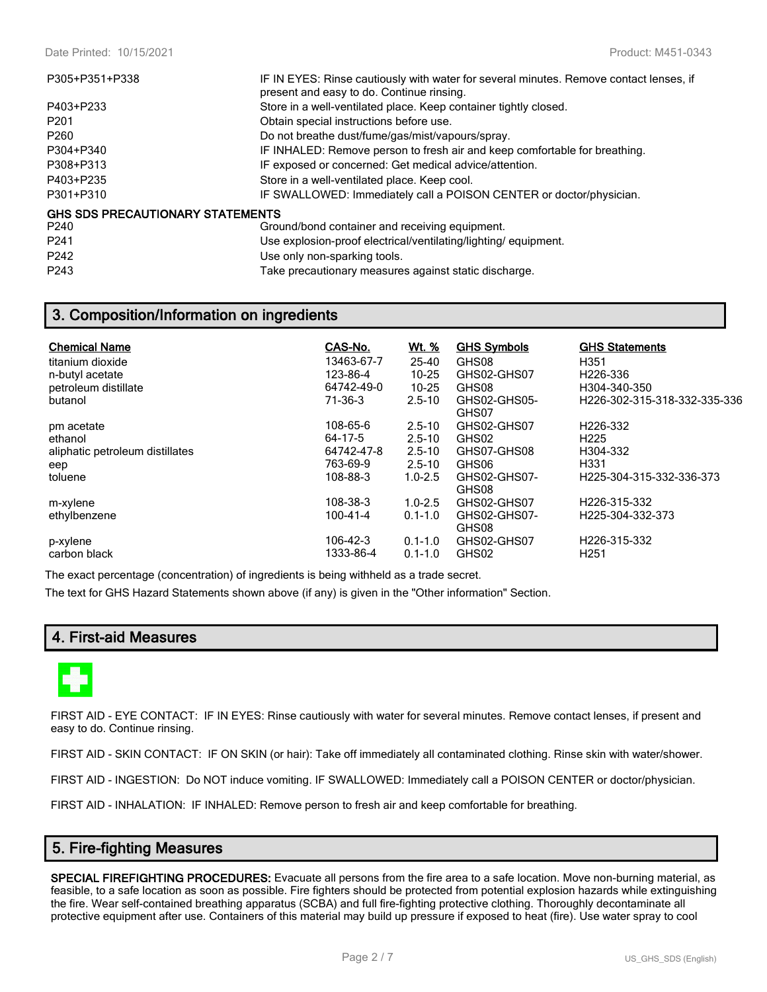| P305+P351+P338                          | IF IN EYES: Rinse cautiously with water for several minutes. Remove contact lenses, if<br>present and easy to do. Continue rinsing. |
|-----------------------------------------|-------------------------------------------------------------------------------------------------------------------------------------|
| P403+P233                               | Store in a well-ventilated place. Keep container tightly closed.                                                                    |
| P <sub>201</sub>                        | Obtain special instructions before use.                                                                                             |
| P <sub>260</sub>                        | Do not breathe dust/fume/gas/mist/vapours/spray.                                                                                    |
| P304+P340                               | IF INHALED: Remove person to fresh air and keep comfortable for breathing.                                                          |
| P308+P313                               | IF exposed or concerned: Get medical advice/attention.                                                                              |
| P403+P235                               | Store in a well-ventilated place. Keep cool.                                                                                        |
| P301+P310                               | IF SWALLOWED: Immediately call a POISON CENTER or doctor/physician.                                                                 |
| <b>GHS SDS PRECAUTIONARY STATEMENTS</b> |                                                                                                                                     |
| P <sub>240</sub>                        | Ground/bond container and receiving equipment.                                                                                      |
| P <sub>241</sub>                        | Use explosion-proof electrical/ventilating/lighting/equipment.                                                                      |
| P242                                    | Use only non-sparking tools.                                                                                                        |

P243 Take precautionary measures against static discharge.

# **3. Composition/Information on ingredients**

| <b>Chemical Name</b><br>titanium dioxide<br>n-butyl acetate<br>petroleum distillate<br>butanol | CAS-No.<br>13463-67-7<br>123-86-4<br>64742-49-0<br>71-36-3 | <u>Wt. %</u><br>25-40<br>$10 - 25$<br>$10 - 25$<br>$2.5 - 10$       | <b>GHS Symbols</b><br>GHS08<br>GHS02-GHS07<br>GHS08<br>GHS02-GHS05-<br>GHS07 | <b>GHS Statements</b><br>H351<br>H226-336<br>H304-340-350<br>H226-302-315-318-332-335-336 |
|------------------------------------------------------------------------------------------------|------------------------------------------------------------|---------------------------------------------------------------------|------------------------------------------------------------------------------|-------------------------------------------------------------------------------------------|
| pm acetate<br>ethanol<br>aliphatic petroleum distillates<br>eep<br>toluene                     | 108-65-6<br>64-17-5<br>64742-47-8<br>763-69-9<br>108-88-3  | $2.5 - 10$<br>$2.5 - 10$<br>$2.5 - 10$<br>$2.5 - 10$<br>$1.0 - 2.5$ | GHS02-GHS07<br>GHS02<br>GHS07-GHS08<br>GHS06<br>GHS02-GHS07-<br>GHS08        | H226-332<br>H <sub>225</sub><br>H304-332<br>H331<br>H225-304-315-332-336-373              |
| m-xylene<br>ethylbenzene<br>p-xylene<br>carbon black                                           | 108-38-3<br>100-41-4<br>106-42-3<br>1333-86-4              | $1.0 - 2.5$<br>$0.1 - 1.0$<br>$0.1 - 1.0$<br>$0.1 - 1.0$            | GHS02-GHS07<br>GHS02-GHS07-<br>GHS08<br>GHS02-GHS07<br>GHS02                 | H226-315-332<br>H225-304-332-373<br>H226-315-332<br>H <sub>251</sub>                      |

The exact percentage (concentration) of ingredients is being withheld as a trade secret. The text for GHS Hazard Statements shown above (if any) is given in the "Other information" Section.

# **4. First-aid Measures**



FIRST AID - EYE CONTACT: IF IN EYES: Rinse cautiously with water for several minutes. Remove contact lenses, if present and easy to do. Continue rinsing.

FIRST AID - SKIN CONTACT: IF ON SKIN (or hair): Take off immediately all contaminated clothing. Rinse skin with water/shower.

FIRST AID - INGESTION: Do NOT induce vomiting. IF SWALLOWED: Immediately call a POISON CENTER or doctor/physician.

FIRST AID - INHALATION: IF INHALED: Remove person to fresh air and keep comfortable for breathing.

# **5. Fire-fighting Measures**

**SPECIAL FIREFIGHTING PROCEDURES:** Evacuate all persons from the fire area to a safe location. Move non-burning material, as feasible, to a safe location as soon as possible. Fire fighters should be protected from potential explosion hazards while extinguishing the fire. Wear self-contained breathing apparatus (SCBA) and full fire-fighting protective clothing. Thoroughly decontaminate all protective equipment after use. Containers of this material may build up pressure if exposed to heat (fire). Use water spray to cool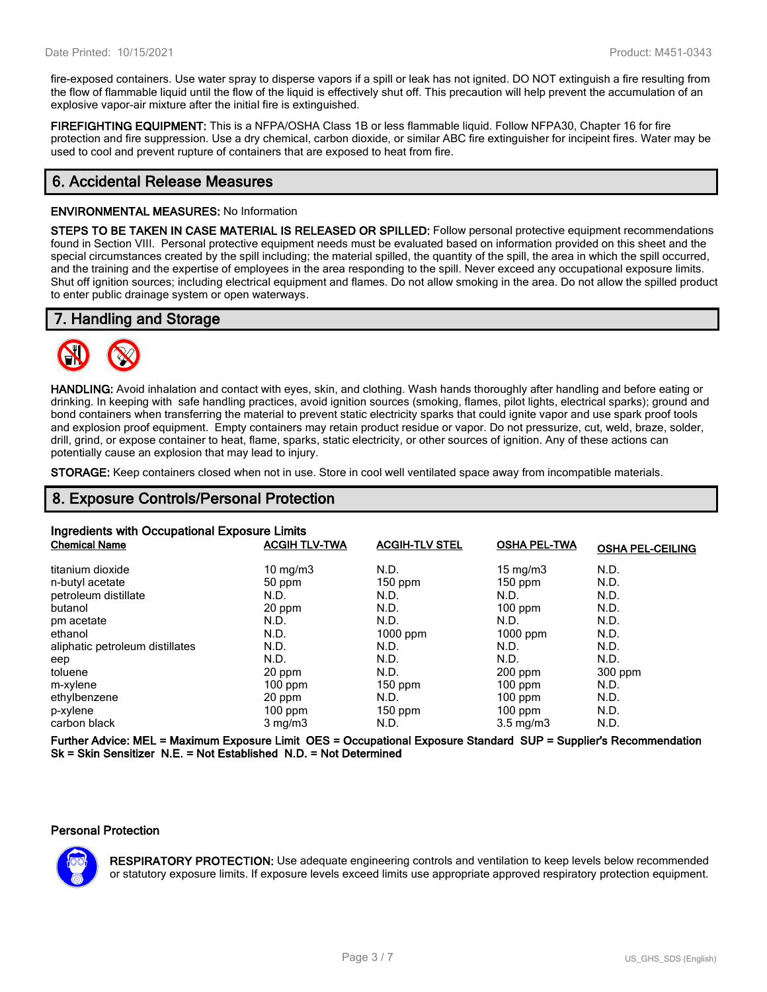fire-exposed containers. Use water spray to disperse vapors if a spill or leak has not ignited. DO NOT extinguish a fire resulting from the flow of flammable liquid until the flow of the liquid is effectively shut off. This precaution will help prevent the accumulation of an explosive vapor-air mixture after the initial fire is extinguished.

**FIREFIGHTING EQUIPMENT:** This is a NFPA/OSHA Class 1B or less flammable liquid. Follow NFPA30, Chapter 16 for fire protection and fire suppression. Use a dry chemical, carbon dioxide, or similar ABC fire extinguisher for incipeint fires. Water may be used to cool and prevent rupture of containers that are exposed to heat from fire.

# **6. Accidental Release Measures**

#### **ENVIRONMENTAL MEASURES:** No Information

**STEPS TO BE TAKEN IN CASE MATERIAL IS RELEASED OR SPILLED:** Follow personal protective equipment recommendations found in Section VIII. Personal protective equipment needs must be evaluated based on information provided on this sheet and the special circumstances created by the spill including; the material spilled, the quantity of the spill, the area in which the spill occurred, and the training and the expertise of employees in the area responding to the spill. Never exceed any occupational exposure limits. Shut off ignition sources; including electrical equipment and flames. Do not allow smoking in the area. Do not allow the spilled product to enter public drainage system or open waterways.

## **7. Handling and Storage**



**HANDLING:** Avoid inhalation and contact with eyes, skin, and clothing. Wash hands thoroughly after handling and before eating or drinking. In keeping with safe handling practices, avoid ignition sources (smoking, flames, pilot lights, electrical sparks); ground and bond containers when transferring the material to prevent static electricity sparks that could ignite vapor and use spark proof tools and explosion proof equipment. Empty containers may retain product residue or vapor. Do not pressurize, cut, weld, braze, solder, drill, grind, or expose container to heat, flame, sparks, static electricity, or other sources of ignition. Any of these actions can potentially cause an explosion that may lead to injury.

**STORAGE:** Keep containers closed when not in use. Store in cool well ventilated space away from incompatible materials.

# **8. Exposure Controls/Personal Protection**

| Ingredients with Occupational Exposure Limits                                            |                      |                       |                     |                         |
|------------------------------------------------------------------------------------------|----------------------|-----------------------|---------------------|-------------------------|
| <b>Chemical Name</b>                                                                     | <b>ACGIH TLV-TWA</b> | <b>ACGIH-TLV STEL</b> | <b>OSHA PEL-TWA</b> | <b>OSHA PEL-CEILING</b> |
| titanium dioxide                                                                         | 10 mg/m $3$          | N.D.                  | $15 \text{ mg/m}$   | N.D.                    |
| n-butyl acetate                                                                          | 50 ppm               | $150$ ppm             | $150$ ppm           | N.D.                    |
| petroleum distillate                                                                     | N.D.                 | N.D.                  | N.D.                | N.D.                    |
| butanol                                                                                  | 20 ppm               | N.D.                  | $100$ ppm           | N.D.                    |
| pm acetate                                                                               | N.D.                 | N.D.                  | N.D.                | N.D.                    |
| ethanol                                                                                  | N.D.                 | $1000$ ppm            | $1000$ ppm          | N.D.                    |
| aliphatic petroleum distillates                                                          | N.D.                 | N.D.                  | N.D.                | N.D.                    |
| eep                                                                                      | N.D.                 | N.D.                  | N.D.                | N.D.                    |
| toluene                                                                                  | 20 ppm               | N.D.                  | $200$ ppm           | $300$ ppm               |
| m-xylene                                                                                 | $100$ ppm            | $150$ ppm             | $100$ ppm           | N.D.                    |
| ethylbenzene                                                                             | 20 ppm               | N.D.                  | $100$ ppm           | N.D.                    |
| p-xylene                                                                                 | $100$ ppm            | 150 ppm               | $100$ ppm           | N.D.                    |
| carbon black                                                                             | $3 \text{ mg/m}$     | N.D.                  | $3.5 \text{ mg/m}$  | N.D.                    |
| F. J. LAU P. MEL M. L. JE J. L. MEA AFA A. L. L. LE J. L. AL J. LAUR A L. P. L. B. L. L. |                      |                       |                     |                         |

**Further Advice: MEL = Maximum Exposure Limit OES = Occupational Exposure Standard SUP = Supplier's Recommendation Sk = Skin Sensitizer N.E. = Not Established N.D. = Not Determined**

#### **Personal Protection**



**RESPIRATORY PROTECTION:** Use adequate engineering controls and ventilation to keep levels below recommended or statutory exposure limits. If exposure levels exceed limits use appropriate approved respiratory protection equipment.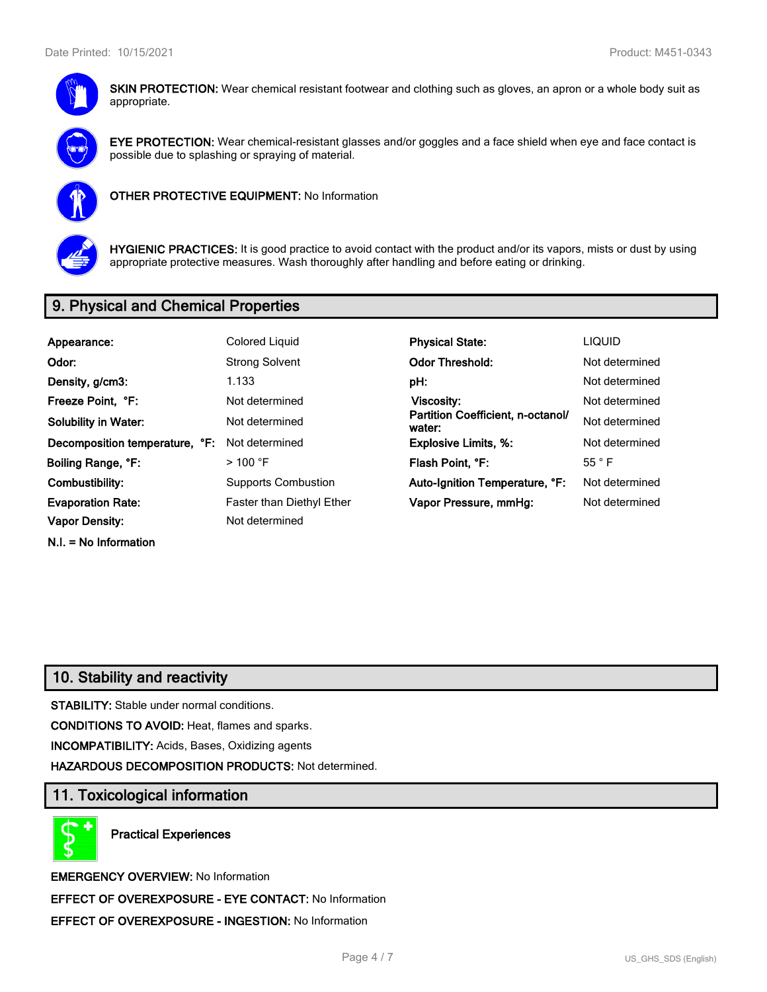

**SKIN PROTECTION:** Wear chemical resistant footwear and clothing such as gloves, an apron or a whole body suit as appropriate.



**EYE PROTECTION:** Wear chemical-resistant glasses and/or goggles and a face shield when eye and face contact is possible due to splashing or spraying of material.



**OTHER PROTECTIVE EQUIPMENT:** No Information



**HYGIENIC PRACTICES:** It is good practice to avoid contact with the product and/or its vapors, mists or dust by using appropriate protective measures. Wash thoroughly after handling and before eating or drinking.

# **9. Physical and Chemical Properties**

| Appearance:                    | Colored Liquid                   | <b>Physical State:</b>                      | <b>LIQUID</b>  |
|--------------------------------|----------------------------------|---------------------------------------------|----------------|
| Odor:                          | <b>Strong Solvent</b>            | <b>Odor Threshold:</b>                      | Not determined |
| Density, g/cm3:                | 1.133                            | pH:                                         | Not determined |
| Freeze Point, °F:              | Not determined                   | Viscosity:                                  | Not determined |
| <b>Solubility in Water:</b>    | Not determined                   | Partition Coefficient, n-octanol/<br>water: | Not determined |
| Decomposition temperature, °F: | Not determined                   | <b>Explosive Limits, %:</b>                 | Not determined |
| Boiling Range, °F:             | $>$ 100 °F                       | Flash Point, °F:                            | $55^{\circ}$ F |
| Combustibility:                | <b>Supports Combustion</b>       | Auto-Ignition Temperature, °F:              | Not determined |
| <b>Evaporation Rate:</b>       | <b>Faster than Diethyl Ether</b> | Vapor Pressure, mmHq:                       | Not determined |
| <b>Vapor Density:</b>          | Not determined                   |                                             |                |
| $N.I. = No Information$        |                                  |                                             |                |

# **10. Stability and reactivity**

**STABILITY:** Stable under normal conditions.

**CONDITIONS TO AVOID:** Heat, flames and sparks.

**INCOMPATIBILITY:** Acids, Bases, Oxidizing agents

**HAZARDOUS DECOMPOSITION PRODUCTS:** Not determined.

# **11. Toxicological information**

**Practical Experiences**

**EMERGENCY OVERVIEW:** No Information **EFFECT OF OVEREXPOSURE - EYE CONTACT:** No Information **EFFECT OF OVEREXPOSURE - INGESTION:** No Information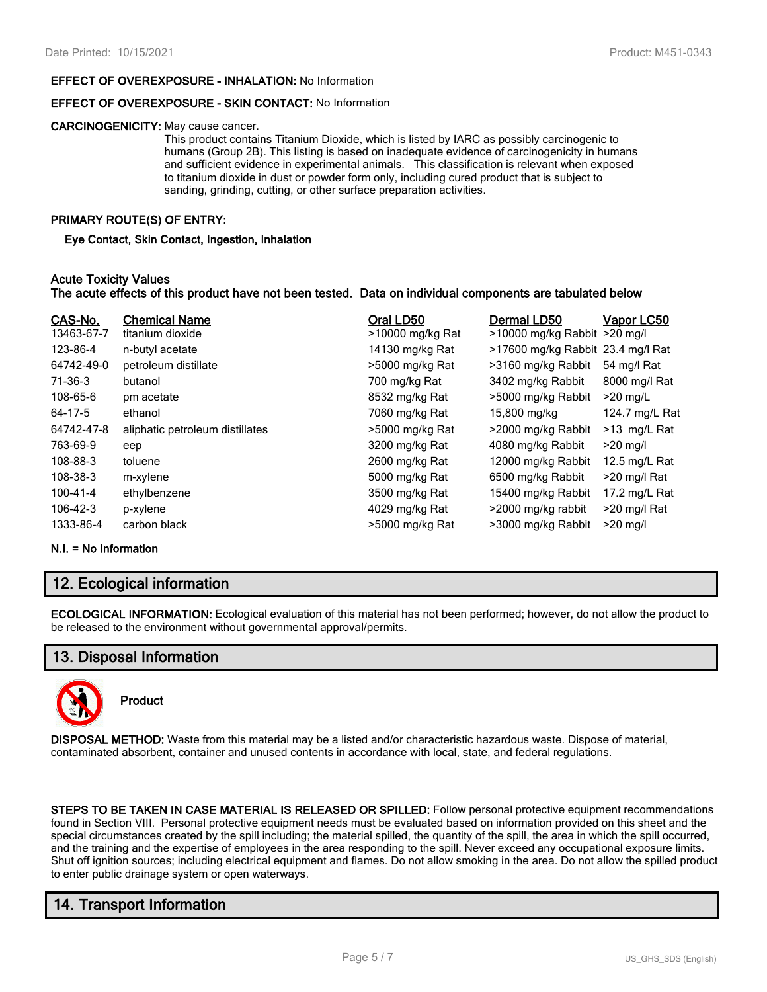#### **EFFECT OF OVEREXPOSURE - INHALATION:** No Information

#### **EFFECT OF OVEREXPOSURE - SKIN CONTACT:** No Information

#### **CARCINOGENICITY:** May cause cancer.

This product contains Titanium Dioxide, which is listed by IARC as possibly carcinogenic to humans (Group 2B). This listing is based on inadequate evidence of carcinogenicity in humans and sufficient evidence in experimental animals. This classification is relevant when exposed to titanium dioxide in dust or powder form only, including cured product that is subject to sanding, grinding, cutting, or other surface preparation activities.

#### **PRIMARY ROUTE(S) OF ENTRY:**

**Eye Contact, Skin Contact, Ingestion, Inhalation**

#### **Acute Toxicity Values**

#### **The acute effects of this product have not been tested. Data on individual components are tabulated below**

| CAS-No.    | <b>Chemical Name</b>            | Oral LD50        | Dermal LD50                       | Vapor LC50     |
|------------|---------------------------------|------------------|-----------------------------------|----------------|
| 13463-67-7 | titanium dioxide                | >10000 mg/kg Rat | $>10000$ mg/kg Rabbit $>20$ mg/l  |                |
| 123-86-4   | n-butyl acetate                 | 14130 mg/kg Rat  | >17600 mg/kg Rabbit 23.4 mg/l Rat |                |
| 64742-49-0 | petroleum distillate            | >5000 mg/kg Rat  | >3160 mg/kg Rabbit                | 54 mg/l Rat    |
| 71-36-3    | butanol                         | 700 mg/kg Rat    | 3402 mg/kg Rabbit                 | 8000 mg/l Rat  |
| 108-65-6   | pm acetate                      | 8532 mg/kg Rat   | >5000 mg/kg Rabbit                | $>20$ mg/L     |
| 64-17-5    | ethanol                         | 7060 mg/kg Rat   | 15,800 mg/kg                      | 124.7 mg/L Rat |
| 64742-47-8 | aliphatic petroleum distillates | >5000 mg/kg Rat  | >2000 mg/kg Rabbit                | >13 mg/L Rat   |
| 763-69-9   | eep                             | 3200 mg/kg Rat   | 4080 mg/kg Rabbit                 | $>20$ mg/l     |
| 108-88-3   | toluene                         | 2600 mg/kg Rat   | 12000 mg/kg Rabbit                | 12.5 mg/L Rat  |
| 108-38-3   | m-xylene                        | 5000 mg/kg Rat   | 6500 mg/kg Rabbit                 | >20 mg/l Rat   |
| 100-41-4   | ethylbenzene                    | 3500 mg/kg Rat   | 15400 mg/kg Rabbit                | 17.2 mg/L Rat  |
| 106-42-3   | p-xylene                        | 4029 mg/kg Rat   | >2000 mg/kg rabbit                | >20 mg/l Rat   |
| 1333-86-4  | carbon black                    | >5000 mg/kg Rat  | >3000 mg/kg Rabbit                | $>20$ mg/l     |

#### **N.I. = No Information**

### **12. Ecological information**

**ECOLOGICAL INFORMATION:** Ecological evaluation of this material has not been performed; however, do not allow the product to be released to the environment without governmental approval/permits.

### **13. Disposal Information**



**Product**

**DISPOSAL METHOD:** Waste from this material may be a listed and/or characteristic hazardous waste. Dispose of material, contaminated absorbent, container and unused contents in accordance with local, state, and federal regulations.

**STEPS TO BE TAKEN IN CASE MATERIAL IS RELEASED OR SPILLED:** Follow personal protective equipment recommendations found in Section VIII. Personal protective equipment needs must be evaluated based on information provided on this sheet and the special circumstances created by the spill including; the material spilled, the quantity of the spill, the area in which the spill occurred, and the training and the expertise of employees in the area responding to the spill. Never exceed any occupational exposure limits. Shut off ignition sources; including electrical equipment and flames. Do not allow smoking in the area. Do not allow the spilled product to enter public drainage system or open waterways.

# **14. Transport Information**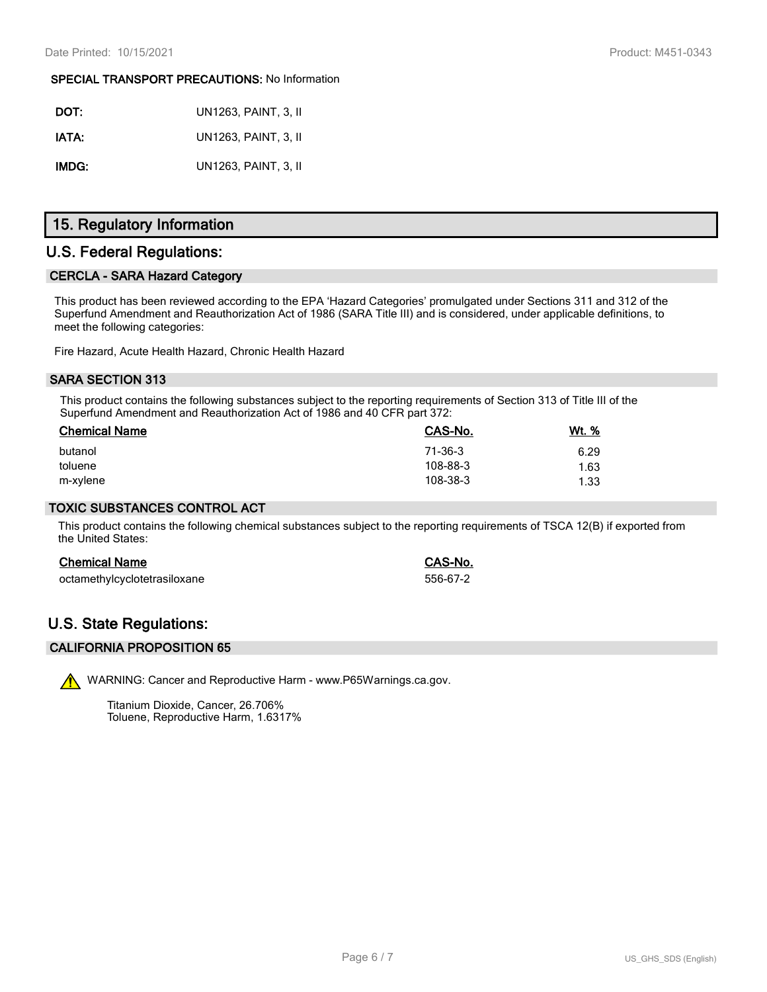#### **SPECIAL TRANSPORT PRECAUTIONS:** No Information

| DOT:  | UN1263, PAINT, 3, II        |
|-------|-----------------------------|
| IATA: | <b>UN1263. PAINT. 3. II</b> |
| IMDG: | UN1263, PAINT, 3, II        |

# **15. Regulatory Information**

## **U.S. Federal Regulations:**

### **CERCLA - SARA Hazard Category**

This product has been reviewed according to the EPA 'Hazard Categories' promulgated under Sections 311 and 312 of the Superfund Amendment and Reauthorization Act of 1986 (SARA Title III) and is considered, under applicable definitions, to meet the following categories:

Fire Hazard, Acute Health Hazard, Chronic Health Hazard

### **SARA SECTION 313**

This product contains the following substances subject to the reporting requirements of Section 313 of Title III of the Superfund Amendment and Reauthorization Act of 1986 and 40 CFR part 372:

| <b>Chemical Name</b> | <b>CAS-No.</b> | <u>Wt. %</u> |
|----------------------|----------------|--------------|
| butanol              | 71-36-3        | 6.29         |
| toluene              | 108-88-3       | 1.63         |
| m-xylene             | 108-38-3       | 1.33         |

#### **TOXIC SUBSTANCES CONTROL ACT**

This product contains the following chemical substances subject to the reporting requirements of TSCA 12(B) if exported from the United States:

#### **Chemical Name CAS-No.**

| octamethylcyclotetrasiloxane | 556-67-2 |  |
|------------------------------|----------|--|
|                              |          |  |

# **U.S. State Regulations:**

#### **CALIFORNIA PROPOSITION 65**

WARNING: Cancer and Reproductive Harm - www.P65Warnings.ca.gov.

Titanium Dioxide, Cancer, 26.706% Toluene, Reproductive Harm, 1.6317%